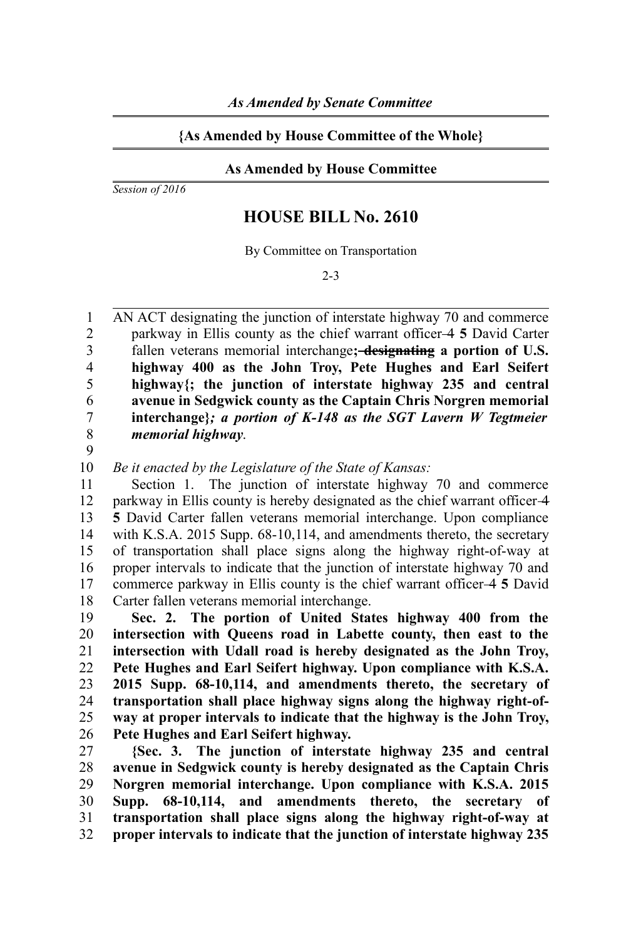## **{As Amended by House Committee of the Whole}**

## **As Amended by House Committee**

*Session of 2016*

## **HOUSE BILL No. 2610**

By Committee on Transportation

2-3

AN ACT designating the junction of interstate highway 70 and commerce parkway in Ellis county as the chief warrant officer 4 **5** David Carter fallen veterans memorial interchange**; designating a portion of U.S. highway 400 as the John Troy, Pete Hughes and Earl Seifert highway{; the junction of interstate highway 235 and central avenue in Sedgwick county as the Captain Chris Norgren memorial interchange}***; a portion of K-148 as the SGT Lavern W Tegtmeier memorial highway*. 1 2 3 4 5 6 7 8

9

*Be it enacted by the Legislature of the State of Kansas:* 10

Section 1. The junction of interstate highway 70 and commerce parkway in Ellis county is hereby designated as the chief warrant officer 4 **5** David Carter fallen veterans memorial interchange. Upon compliance with K.S.A. 2015 Supp. 68-10,114, and amendments thereto, the secretary of transportation shall place signs along the highway right-of-way at proper intervals to indicate that the junction of interstate highway 70 and commerce parkway in Ellis county is the chief warrant officer 4 **5** David Carter fallen veterans memorial interchange. 11 12 13 14 15 16 17 18

**Sec. 2. The portion of United States highway 400 from the intersection with Queens road in Labette county, then east to the intersection with Udall road is hereby designated as the John Troy, Pete Hughes and Earl Seifert highway. Upon compliance with K.S.A. 2015 Supp. 68-10,114, and amendments thereto, the secretary of transportation shall place highway signs along the highway right-ofway at proper intervals to indicate that the highway is the John Troy, Pete Hughes and Earl Seifert highway.** 19 20 21 22 23 24 25 26

**{Sec. 3. The junction of interstate highway 235 and central avenue in Sedgwick county is hereby designated as the Captain Chris Norgren memorial interchange. Upon compliance with K.S.A. 2015 Supp. 68-10,114, and amendments thereto, the secretary of transportation shall place signs along the highway right-of-way at proper intervals to indicate that the junction of interstate highway 235** 27 28 29 30 31 32